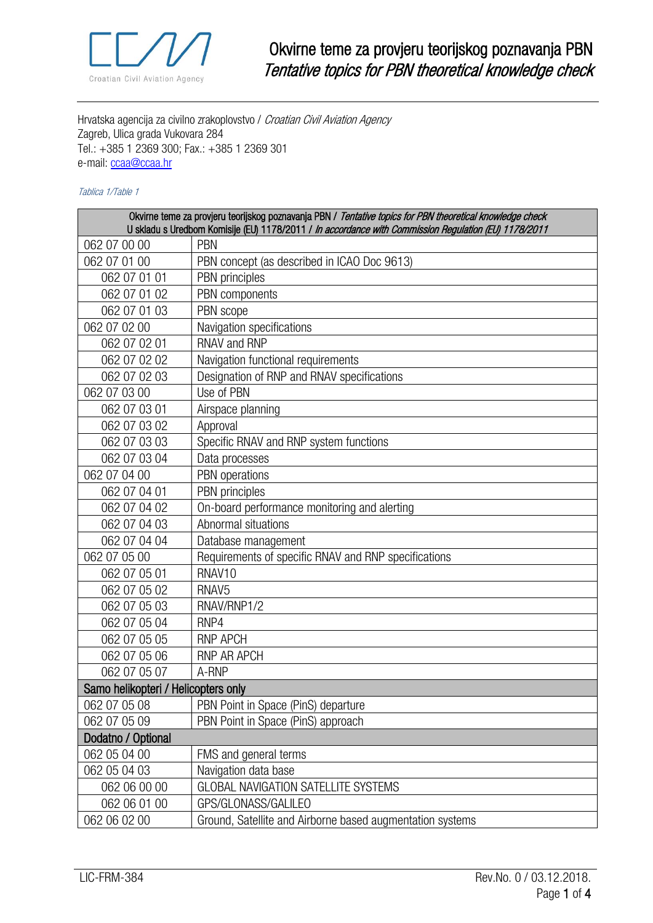

Hrvatska agencija za civilno zrakoplovstvo / Croatian Civil Aviation Agency Zagreb, Ulica grada Vukovara 284 Tel.: +385 1 2369 300; Fax.: +385 1 2369 301 e-mail: [ccaa@ccaa.hr](file://///dfs/sluzbeni_podaci/2_DOKUMENTACIJA/Biblioteka/Manuals%20and%20Procedures/Licencing%20Department%20Procedures%20Manual/04%20Part%20IV%20Obrasci%20-%20WORD/ccaa@ccaa.hr)

## Tablica 1/Table 1

| Okvirne teme za provjeru teorijskog poznavanja PBN / Tentative topics for PBN theoretical knowledge check<br>U skladu s Uredbom Komisije (EU) 1178/2011 / In accordance with Commission Regulation (EU) 1178/2011 |                                                           |  |
|-------------------------------------------------------------------------------------------------------------------------------------------------------------------------------------------------------------------|-----------------------------------------------------------|--|
| 062 07 00 00                                                                                                                                                                                                      | PBN                                                       |  |
| 062 07 01 00                                                                                                                                                                                                      | PBN concept (as described in ICAO Doc 9613)               |  |
| 062 07 01 01                                                                                                                                                                                                      | PBN principles                                            |  |
| 062 07 01 02                                                                                                                                                                                                      | PBN components                                            |  |
| 062 07 01 03                                                                                                                                                                                                      | PBN scope                                                 |  |
| 062 07 02 00                                                                                                                                                                                                      | Navigation specifications                                 |  |
| 062 07 02 01                                                                                                                                                                                                      | <b>RNAV and RNP</b>                                       |  |
| 062 07 02 02                                                                                                                                                                                                      | Navigation functional requirements                        |  |
| 062 07 02 03                                                                                                                                                                                                      | Designation of RNP and RNAV specifications                |  |
| 062 07 03 00                                                                                                                                                                                                      | Use of PBN                                                |  |
| 062 07 03 01                                                                                                                                                                                                      | Airspace planning                                         |  |
| 062 07 03 02                                                                                                                                                                                                      | Approval                                                  |  |
| 062 07 03 03                                                                                                                                                                                                      | Specific RNAV and RNP system functions                    |  |
| 062 07 03 04                                                                                                                                                                                                      | Data processes                                            |  |
| 062 07 04 00                                                                                                                                                                                                      | PBN operations                                            |  |
| 062 07 04 01                                                                                                                                                                                                      | PBN principles                                            |  |
| 062 07 04 02                                                                                                                                                                                                      | On-board performance monitoring and alerting              |  |
| 062 07 04 03                                                                                                                                                                                                      | Abnormal situations                                       |  |
| 062 07 04 04                                                                                                                                                                                                      | Database management                                       |  |
| 062 07 05 00                                                                                                                                                                                                      | Requirements of specific RNAV and RNP specifications      |  |
| 062 07 05 01                                                                                                                                                                                                      | RNAV <sub>10</sub>                                        |  |
| 062 07 05 02                                                                                                                                                                                                      | RNAV <sub>5</sub>                                         |  |
| 062 07 05 03                                                                                                                                                                                                      | RNAV/RNP1/2                                               |  |
| 062 07 05 04                                                                                                                                                                                                      | RNP4                                                      |  |
| 062 07 05 05                                                                                                                                                                                                      | <b>RNP APCH</b>                                           |  |
| 062 07 05 06                                                                                                                                                                                                      | RNP AR APCH                                               |  |
| 062 07 05 07                                                                                                                                                                                                      | A-RNP                                                     |  |
| Samo helikopteri / Helicopters only                                                                                                                                                                               |                                                           |  |
| 062 07 05 08                                                                                                                                                                                                      | PBN Point in Space (PinS) departure                       |  |
| 062 07 05 09                                                                                                                                                                                                      | PBN Point in Space (PinS) approach                        |  |
| Dodatno / Optional                                                                                                                                                                                                |                                                           |  |
| 062 05 04 00                                                                                                                                                                                                      | FMS and general terms                                     |  |
| 062 05 04 03                                                                                                                                                                                                      | Navigation data base                                      |  |
| 062 06 00 00                                                                                                                                                                                                      | GLOBAL NAVIGATION SATELLITE SYSTEMS                       |  |
| 062 06 01 00                                                                                                                                                                                                      | GPS/GLONASS/GALILEO                                       |  |
| 062 06 02 00                                                                                                                                                                                                      | Ground, Satellite and Airborne based augmentation systems |  |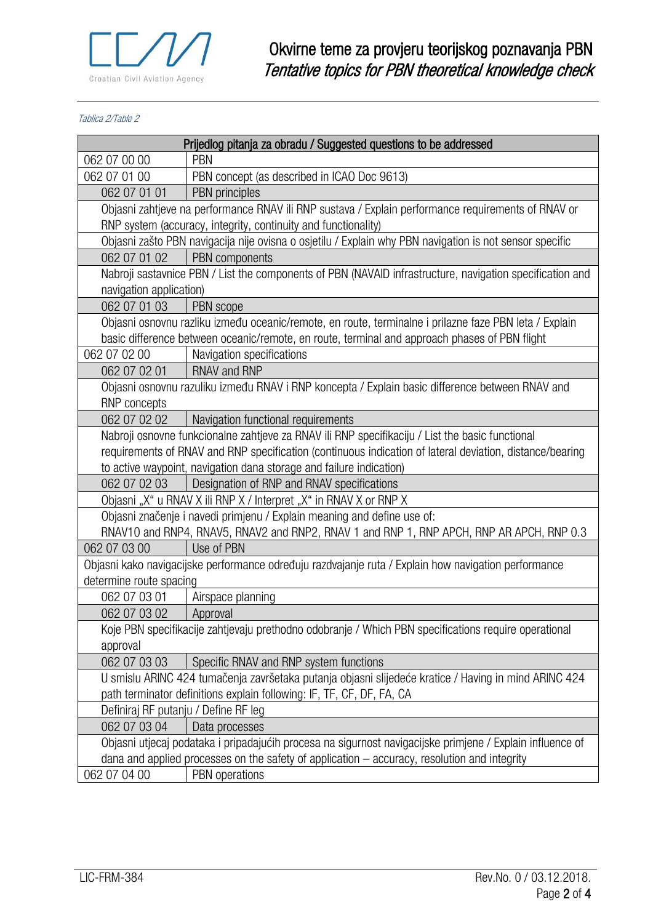

Tablica 2/Table 2

| Prijedlog pitanja za obradu / Suggested questions to be addressed                                         |                                                                                                          |  |
|-----------------------------------------------------------------------------------------------------------|----------------------------------------------------------------------------------------------------------|--|
| 062 07 00 00                                                                                              | <b>PBN</b>                                                                                               |  |
| 062 07 01 00                                                                                              | PBN concept (as described in ICAO Doc 9613)                                                              |  |
| 062 07 01 01                                                                                              | PBN principles                                                                                           |  |
| Objasni zahtjeve na performance RNAV ili RNP sustava / Explain performance requirements of RNAV or        |                                                                                                          |  |
| RNP system (accuracy, integrity, continuity and functionality)                                            |                                                                                                          |  |
|                                                                                                           | Objasni zašto PBN navigacija nije ovisna o osjetilu / Explain why PBN navigation is not sensor specific  |  |
| 062 07 01 02                                                                                              | PBN components                                                                                           |  |
| Nabroji sastavnice PBN / List the components of PBN (NAVAID infrastructure, navigation specification and  |                                                                                                          |  |
| navigation application)                                                                                   |                                                                                                          |  |
| 062 07 01 03                                                                                              | PBN scope                                                                                                |  |
| Objasni osnovnu razliku između oceanic/remote, en route, terminalne i prilazne faze PBN leta / Explain    |                                                                                                          |  |
| basic difference between oceanic/remote, en route, terminal and approach phases of PBN flight             |                                                                                                          |  |
| 062 07 02 00                                                                                              | Navigation specifications                                                                                |  |
| 062 07 02 01   RNAV and RNP                                                                               |                                                                                                          |  |
| Objasni osnovnu razuliku između RNAV i RNP koncepta / Explain basic difference between RNAV and           |                                                                                                          |  |
| RNP concepts                                                                                              |                                                                                                          |  |
| 062 07 02 02                                                                                              | Navigation functional requirements                                                                       |  |
|                                                                                                           | Nabroji osnovne funkcionalne zahtjeve za RNAV ili RNP specifikaciju / List the basic functional          |  |
|                                                                                                           | requirements of RNAV and RNP specification (continuous indication of lateral deviation, distance/bearing |  |
|                                                                                                           | to active waypoint, navigation dana storage and failure indication)                                      |  |
| 062 07 02 03                                                                                              | Designation of RNP and RNAV specifications                                                               |  |
| Objasni "X" u RNAV X ili RNP X / Interpret "X" in RNAV X or RNP X                                         |                                                                                                          |  |
| Objasni značenje i navedi primjenu / Explain meaning and define use of:                                   |                                                                                                          |  |
|                                                                                                           | RNAV10 and RNP4, RNAV5, RNAV2 and RNP2, RNAV 1 and RNP 1, RNP APCH, RNP AR APCH, RNP 0.3                 |  |
| 062 07 03 00                                                                                              | Use of PBN                                                                                               |  |
| Objasni kako navigacijske performance određuju razdvajanje ruta / Explain how navigation performance      |                                                                                                          |  |
| determine route spacing                                                                                   |                                                                                                          |  |
| 062 07 03 01                                                                                              | Airspace planning                                                                                        |  |
| 062 07 03 02                                                                                              | Approval                                                                                                 |  |
| Koje PBN specifikacije zahtjevaju prethodno odobranje / Which PBN specifications require operational      |                                                                                                          |  |
| approval                                                                                                  |                                                                                                          |  |
| 062 07 03 03                                                                                              | Specific RNAV and RNP system functions                                                                   |  |
| U smislu ARINC 424 tumačenja završetaka putanja objasni slijedeće kratice / Having in mind ARINC 424      |                                                                                                          |  |
| path terminator definitions explain following: IF, TF, CF, DF, FA, CA                                     |                                                                                                          |  |
| Definiraj RF putanju / Define RF leg                                                                      |                                                                                                          |  |
| 062 07 03 04                                                                                              | Data processes                                                                                           |  |
| Objasni utjecaj podataka i pripadajućih procesa na sigurnost navigacijske primjene / Explain influence of |                                                                                                          |  |
| dana and applied processes on the safety of application $-$ accuracy, resolution and integrity            |                                                                                                          |  |
| 062 07 04 00                                                                                              | PBN operations                                                                                           |  |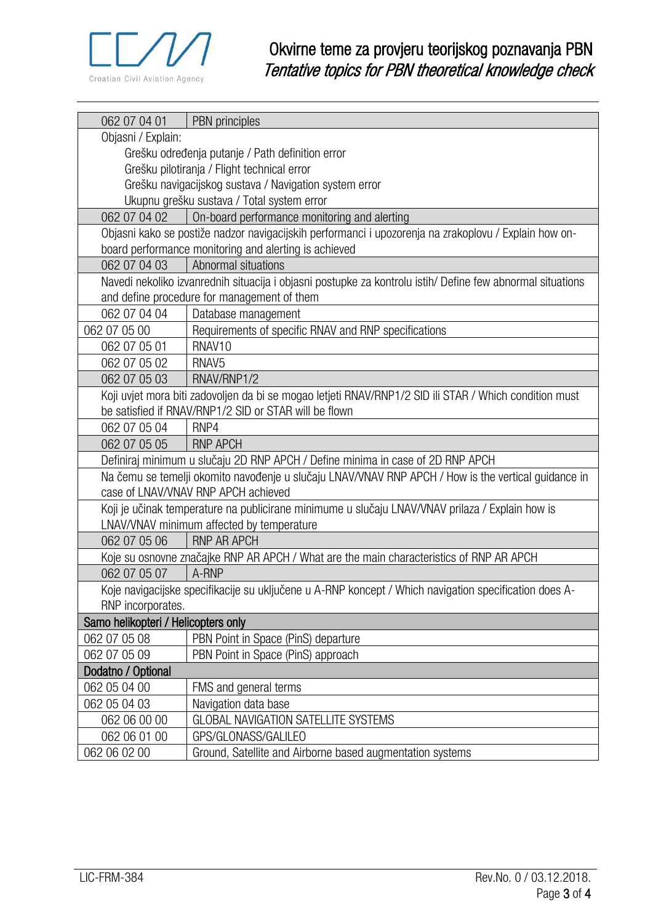

| 062 07 04 01                                                                                               | PBN principles                                            |  |
|------------------------------------------------------------------------------------------------------------|-----------------------------------------------------------|--|
| Objasni / Explain:                                                                                         |                                                           |  |
| Grešku određenja putanje / Path definition error                                                           |                                                           |  |
| Grešku pilotiranja / Flight technical error                                                                |                                                           |  |
| Grešku navigacijskog sustava / Navigation system error                                                     |                                                           |  |
| Ukupnu grešku sustava / Total system error                                                                 |                                                           |  |
| 062 07 04 02                                                                                               | On-board performance monitoring and alerting              |  |
| Objasni kako se postiže nadzor navigacijskih performanci i upozorenja na zrakoplovu / Explain how on-      |                                                           |  |
| board performance monitoring and alerting is achieved                                                      |                                                           |  |
| 062 07 04 03                                                                                               | Abnormal situations                                       |  |
| Navedi nekoliko izvanrednih situacija i objasni postupke za kontrolu istih/ Define few abnormal situations |                                                           |  |
| and define procedure for management of them                                                                |                                                           |  |
| 062 07 04 04                                                                                               | Database management                                       |  |
| 062 07 05 00                                                                                               | Requirements of specific RNAV and RNP specifications      |  |
| 062 07 05 01                                                                                               | RNAV <sub>10</sub>                                        |  |
| 062 07 05 02                                                                                               | RNAV <sub>5</sub>                                         |  |
| 062 07 05 03                                                                                               | RNAV/RNP1/2                                               |  |
| Koji uvjet mora biti zadovoljen da bi se mogao letjeti RNAV/RNP1/2 SID ili STAR / Which condition must     |                                                           |  |
|                                                                                                            | be satisfied if RNAV/RNP1/2 SID or STAR will be flown     |  |
| 062 07 05 04                                                                                               | RNP4                                                      |  |
| 062 07 05 05                                                                                               | <b>RNP APCH</b>                                           |  |
| Definiraj minimum u slučaju 2D RNP APCH / Define minima in case of 2D RNP APCH                             |                                                           |  |
| Na čemu se temelji okomito navođenje u slučaju LNAV/VNAV RNP APCH / How is the vertical guidance in        |                                                           |  |
| case of LNAV/VNAV RNP APCH achieved                                                                        |                                                           |  |
| Koji je učinak temperature na publicirane minimume u slučaju LNAV/VNAV prilaza / Explain how is            |                                                           |  |
| LNAV/VNAV minimum affected by temperature                                                                  |                                                           |  |
| 062 07 05 06                                                                                               | <b>RNP AR APCH</b>                                        |  |
| Koje su osnovne značajke RNP AR APCH / What are the main characteristics of RNP AR APCH                    |                                                           |  |
| 062 07 05 07                                                                                               | A-RNP                                                     |  |
| Koje navigacijske specifikacije su uključene u A-RNP koncept / Which navigation specification does A-      |                                                           |  |
| RNP incorporates.                                                                                          |                                                           |  |
| Samo helikopteri / Helicopters only                                                                        |                                                           |  |
| 062 07 05 08                                                                                               | PBN Point in Space (PinS) departure                       |  |
| 062 07 05 09                                                                                               | PBN Point in Space (PinS) approach                        |  |
| Dodatno / Optional                                                                                         |                                                           |  |
| 062 05 04 00                                                                                               | FMS and general terms                                     |  |
| 062 05 04 03                                                                                               | Navigation data base                                      |  |
| 062 06 00 00                                                                                               | <b>GLOBAL NAVIGATION SATELLITE SYSTEMS</b>                |  |
| 062 06 01 00                                                                                               | GPS/GLONASS/GALILEO                                       |  |
| 062 06 02 00                                                                                               | Ground, Satellite and Airborne based augmentation systems |  |